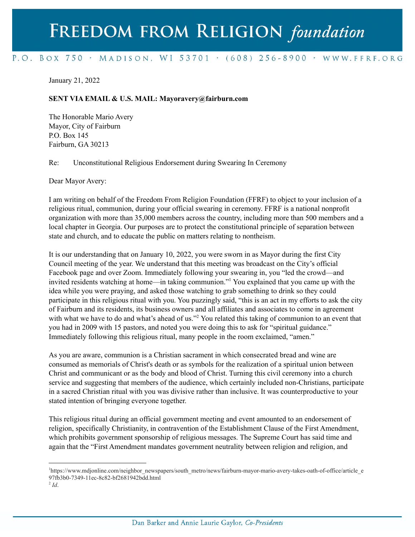## FREEDOM FROM RELIGION foundation

## P.O. BOX 750 > MADISON, WI 53701 > (608) 256-8900 > WWW.FFRF.ORG

January 21, 2022

## **SENT VIA EMAIL & U.S. MAIL: Mayoravery@fairburn.com**

The Honorable Mario Avery Mayor, City of Fairburn P.O. Box 145 Fairburn, GA 30213

Re: Unconstitutional Religious Endorsement during Swearing In Ceremony

Dear Mayor Avery:

I am writing on behalf of the Freedom From Religion Foundation (FFRF) to object to your inclusion of a religious ritual, communion, during your official swearing in ceremony. FFRF is a national nonprofit organization with more than 35,000 members across the country, including more than 500 members and a local chapter in Georgia. Our purposes are to protect the constitutional principle of separation between state and church, and to educate the public on matters relating to nontheism.

It is our understanding that on January 10, 2022, you were sworn in as Mayor during the first City Council meeting of the year. We understand that this meeting was broadcast on the City's official Facebook page and over Zoom. Immediately following your swearing in, you "led the crowd—and invited residents watching at home—in taking communion."<sup>1</sup> You explained that you came up with the idea while you were praying, and asked those watching to grab something to drink so they could participate in this religious ritual with you. You puzzingly said, "this is an act in my efforts to ask the city of Fairburn and its residents, its business owners and all affiliates and associates to come in agreement with what we have to do and what's ahead of us."<sup>2</sup> You related this taking of communion to an event that you had in 2009 with 15 pastors, and noted you were doing this to ask for "spiritual guidance." Immediately following this religious ritual, many people in the room exclaimed, "amen."

As you are aware, communion is a Christian sacrament in which consecrated bread and wine are consumed as memorials of Christ's death or as symbols for the realization of a spiritual union between Christ and communicant or as the body and blood of Christ. Turning this civil ceremony into a church service and suggesting that members of the audience, which certainly included non-Christians, participate in a sacred Christian ritual with you was divisive rather than inclusive. It was counterproductive to your stated intention of bringing everyone together.

This religious ritual during an official government meeting and event amounted to an endorsement of religion, specifically Christianity, in contravention of the Establishment Clause of the First Amendment, which prohibits government sponsorship of religious messages. The Supreme Court has said time and again that the "First Amendment mandates government neutrality between religion and religion, and

<sup>1</sup>https://www.mdjonline.com/neighbor\_newspapers/south\_metro/news/fairburn-mayor-mario-avery-takes-oath-of-office/article\_e 97fb3b0-7349-11ec-8c82-bf2681942bdd.html

<sup>2</sup> *Id*.